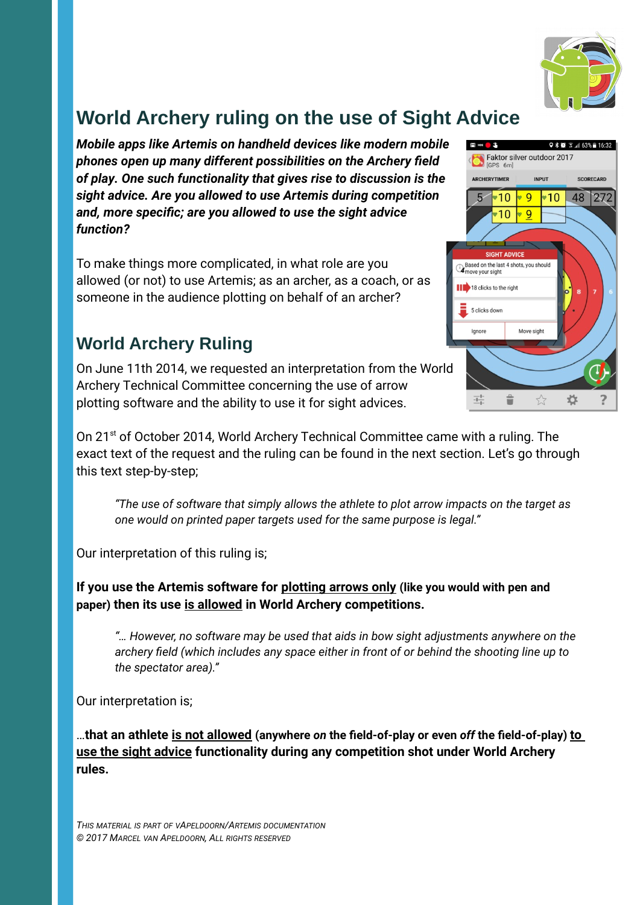

# **World Archery ruling on the use of Sight Advice**

*Mobile apps like Artemis on handheld devices like modern mobile phones open up many different possibilities on the Archery field of play. One such functionality that gives rise to discussion is the sight advice. Are you allowed to use Artemis during competition and, more specific; are you allowed to use the sight advice function?*

To make things more complicated, in what role are you allowed (or not) to use Artemis; as an archer, as a coach, or as someone in the audience plotting on behalf of an archer?

### **World Archery Ruling**

On June 11th 2014, we requested an interpretation from the World Archery Technical Committee concerning the use of arrow plotting software and the ability to use it for sight advices.

On 21<sup>st</sup> of October 2014, World Archery Technical Committee came with a ruling. The exact text of the request and the ruling can be found in the next section. Let's go through this text step-by-step;

*"The use of software that simply allows the athlete to plot arrow impacts on the target as one would on printed paper targets used for the same purpose is legal."*

Our interpretation of this ruling is;

**If you use the Artemis software for plotting arrows only (like you would with pen and paper) then its use is allowed in World Archery competitions.** 

*"… However, no software may be used that aids in bow sight adjustments anywhere on the archery field (which includes any space either in front of or behind the shooting line up to the spectator area)."*

Our interpretation is;

…**that an athlete is not allowed (anywhere** *on* **the field-of-play or even** *off* **the field-of-play) to use the sight advice functionality during any competition shot under World Archery rules.**